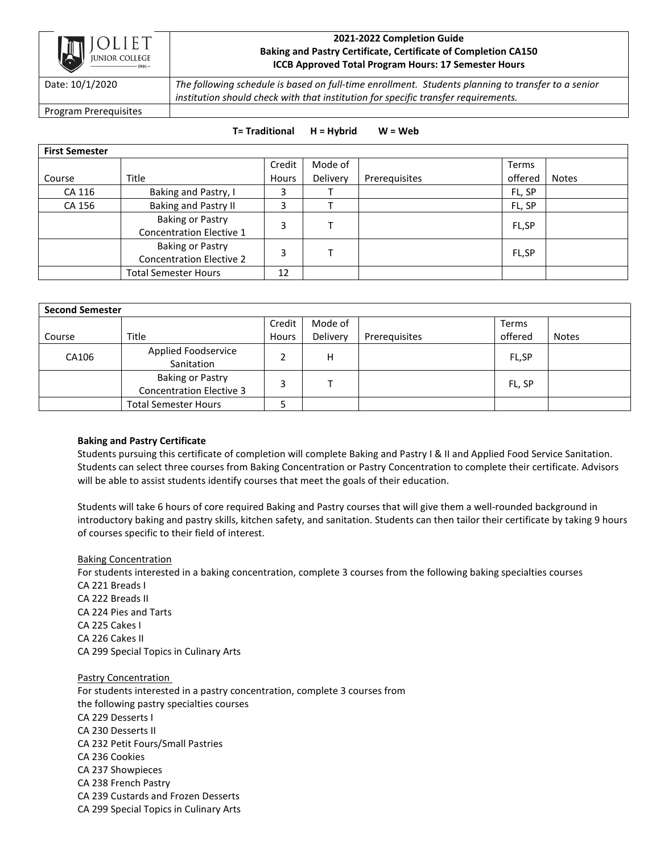

## **2021-2022 Completion Guide Baking and Pastry Certificate, Certificate of Completion CA150 ICCB Approved Total Program Hours: 17 Semester Hours**

Date: 10/1/2020 *The following schedule is based on full-time enrollment. Students planning to transfer to a senior institution should check with that institution for specific transfer requirements.*

Program Prerequisites

### **T= Traditional H = Hybrid W = Web**

| <b>First Semester</b> |                                 |        |          |               |         |              |  |
|-----------------------|---------------------------------|--------|----------|---------------|---------|--------------|--|
|                       |                                 | Credit | Mode of  |               | Terms   |              |  |
| Course                | Title                           | Hours  | Delivery | Prerequisites | offered | <b>Notes</b> |  |
| CA 116                | Baking and Pastry, I            |        |          |               | FL, SP  |              |  |
| CA 156                | Baking and Pastry II            | 3      |          |               | FL, SP  |              |  |
|                       | <b>Baking or Pastry</b>         | 3      |          |               | FL,SP   |              |  |
|                       | <b>Concentration Elective 1</b> |        |          |               |         |              |  |
|                       | <b>Baking or Pastry</b>         | 3      |          |               | FL,SP   |              |  |
|                       | <b>Concentration Elective 2</b> |        |          |               |         |              |  |
|                       | <b>Total Semester Hours</b>     | 12     |          |               |         |              |  |

| <b>Second Semester</b> |                                                            |              |          |               |         |              |  |  |
|------------------------|------------------------------------------------------------|--------------|----------|---------------|---------|--------------|--|--|
|                        |                                                            | Credit       | Mode of  |               | Terms   |              |  |  |
| Course                 | Title                                                      | <b>Hours</b> | Delivery | Prerequisites | offered | <b>Notes</b> |  |  |
| CA106                  | Applied Foodservice<br>Sanitation                          |              | н        |               | FL,SP   |              |  |  |
|                        | <b>Baking or Pastry</b><br><b>Concentration Elective 3</b> |              |          |               | FL, SP  |              |  |  |
|                        | <b>Total Semester Hours</b>                                |              |          |               |         |              |  |  |

# **Baking and Pastry Certificate**

Students pursuing this certificate of completion will complete Baking and Pastry I & II and Applied Food Service Sanitation. Students can select three courses from Baking Concentration or Pastry Concentration to complete their certificate. Advisors will be able to assist students identify courses that meet the goals of their education.

Students will take 6 hours of core required Baking and Pastry courses that will give them a well-rounded background in introductory baking and pastry skills, kitchen safety, and sanitation. Students can then tailor their certificate by taking 9 hours of courses specific to their field of interest.

#### Baking Concentration

For students interested in a baking concentration, complete 3 courses from the following baking specialties courses CA 221 Breads I CA 222 Breads II CA 224 Pies and Tarts CA 225 Cakes I CA 226 Cakes II CA 299 Special Topics in Culinary Arts

Pastry Concentration For students interested in a pastry concentration, complete 3 courses from the following pastry specialties courses CA 229 Desserts I CA 230 Desserts II CA 232 Petit Fours/Small Pastries CA 236 Cookies CA 237 Showpieces CA 238 French Pastry CA 239 Custards and Frozen Desserts CA 299 Special Topics in Culinary Arts